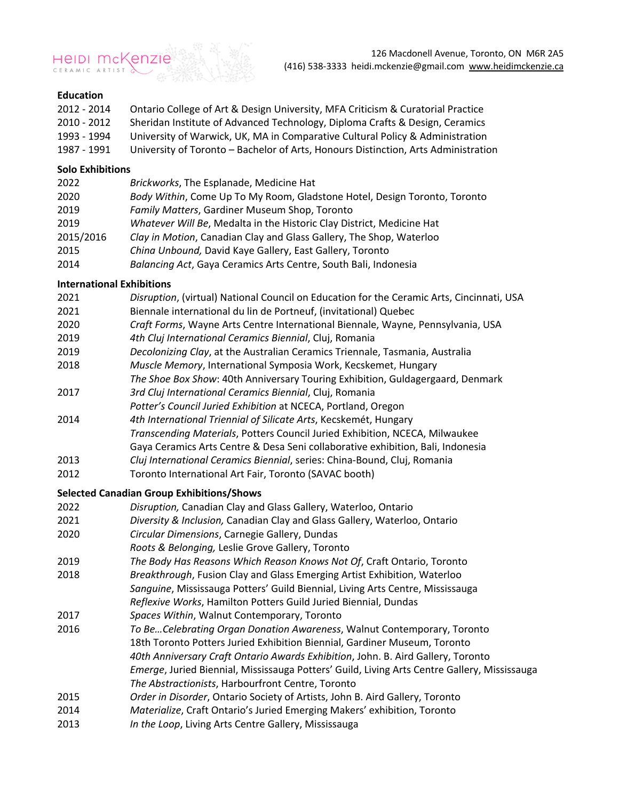

#### **Education**

| 2012 - 2014 | Ontario College of Art & Design University, MFA Criticism & Curatorial Practice    |
|-------------|------------------------------------------------------------------------------------|
| 2010 - 2012 | Sheridan Institute of Advanced Technology, Diploma Crafts & Design, Ceramics       |
| 1993 - 1994 | University of Warwick, UK, MA in Comparative Cultural Policy & Administration      |
| 1987 - 1991 | University of Toronto - Bachelor of Arts, Honours Distinction, Arts Administration |

#### **Solo Exhibitions**

| 2022      | Brickworks, The Esplanade, Medicine Hat                                   |
|-----------|---------------------------------------------------------------------------|
| 2020      | Body Within, Come Up To My Room, Gladstone Hotel, Design Toronto, Toronto |
| 2019      | Family Matters, Gardiner Museum Shop, Toronto                             |
| 2019      | Whatever Will Be, Medalta in the Historic Clay District, Medicine Hat     |
| 2015/2016 | Clay in Motion, Canadian Clay and Glass Gallery, The Shop, Waterloo       |
| 2015      | China Unbound, David Kaye Gallery, East Gallery, Toronto                  |
| 2014      | Balancing Act, Gaya Ceramics Arts Centre, South Bali, Indonesia           |

#### **International Exhibitions**

| 2021 | Disruption, (virtual) National Council on Education for the Ceramic Arts, Cincinnati, USA |
|------|-------------------------------------------------------------------------------------------|
| 2021 | Biennale international du lin de Portneuf, (invitational) Quebec                          |
| 2020 | Craft Forms, Wayne Arts Centre International Biennale, Wayne, Pennsylvania, USA           |
| 2019 | 4th Cluj International Ceramics Biennial, Cluj, Romania                                   |
| 2019 | Decolonizing Clay, at the Australian Ceramics Triennale, Tasmania, Australia              |
| 2018 | Muscle Memory, International Symposia Work, Kecskemet, Hungary                            |
|      | The Shoe Box Show: 40th Anniversary Touring Exhibition, Guldagergaard, Denmark            |

- 2017 *3rd Cluj International Ceramics Biennial*, Cluj, Romania
- *Potter's Council Juried Exhibition* at NCECA, Portland, Oregon
- 2014 *4th International Triennial of Silicate Arts*, Kecskemét, Hungary
- *Transcending Materials*, Potters Council Juried Exhibition, NCECA, Milwaukee
- Gaya Ceramics Arts Centre & Desa Seni collaborative exhibition, Bali, Indonesia
- 2013 *Cluj International Ceramics Biennial*, series: China-Bound, Cluj, Romania
- 2012 Toronto International Art Fair, Toronto (SAVAC booth)

### **Selected Canadian Group Exhibitions/Shows**

- 2022 *Disruption,* Canadian Clay and Glass Gallery, Waterloo, Ontario
- 2021 *Diversity & Inclusion,* Canadian Clay and Glass Gallery, Waterloo, Ontario
- 2020 *Circular Dimensions*, Carnegie Gallery, Dundas
- *Roots & Belonging,* Leslie Grove Gallery, Toronto
- 2019 *The Body Has Reasons Which Reason Knows Not Of*, Craft Ontario, Toronto
- 2018 *Breakthrough*, Fusion Clay and Glass Emerging Artist Exhibition, Waterloo
	- *Sanguine*, Mississauga Potters' Guild Biennial, Living Arts Centre, Mississauga
- *Reflexive Works*, Hamilton Potters Guild Juried Biennial, Dundas
- 2017 *Spaces Within*, Walnut Contemporary, Toronto
- 2016 *To Be…Celebrating Organ Donation Awareness*, Walnut Contemporary, Toronto 18th Toronto Potters Juried Exhibition Biennial, Gardiner Museum, Toronto *40th Anniversary Craft Ontario Awards Exhibition*, John. B. Aird Gallery, Toronto *Emerge*, Juried Biennial, Mississauga Potters' Guild, Living Arts Centre Gallery, Mississauga *The Abstractionists*, Harbourfront Centre, Toronto
- 2015 *Order in Disorder*, Ontario Society of Artists, John B. Aird Gallery, Toronto
- 2014 *Materialize*, Craft Ontario's Juried Emerging Makers' exhibition, Toronto
- 2013 *In the Loop*, Living Arts Centre Gallery, Mississauga